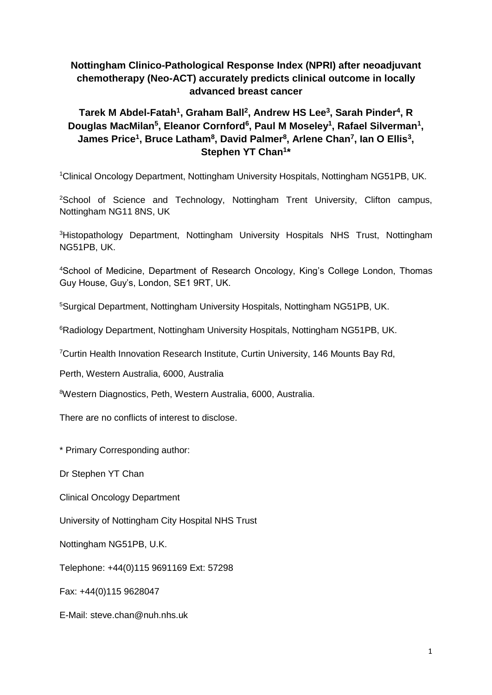# **Nottingham Clinico-Pathological Response Index (NPRI) after neoadjuvant chemotherapy (Neo-ACT) accurately predicts clinical outcome in locally advanced breast cancer**

# Tarek M Abdel-Fatah<sup>1</sup>, Graham Ball<sup>2</sup>, Andrew HS Lee<sup>3</sup>, Sarah Pinder<sup>4</sup>, R **Douglas MacMilan<sup>5</sup> , Eleanor Cornford<sup>6</sup> , Paul M Moseley<sup>1</sup> , Rafael Silverman<sup>1</sup> , James Price<sup>1</sup> , Bruce Latham<sup>8</sup> , David Palmer<sup>8</sup> , Arlene Chan<sup>7</sup> , Ian O Ellis<sup>3</sup> , Stephen YT Chan<sup>1</sup> \***

<sup>1</sup>Clinical Oncology Department, Nottingham University Hospitals, Nottingham NG51PB, UK.

<sup>2</sup>School of Science and Technology, Nottingham Trent University, Clifton campus, Nottingham NG11 8NS, UK

<sup>3</sup>Histopathology Department, Nottingham University Hospitals NHS Trust, Nottingham NG51PB, UK.

<sup>4</sup>School of Medicine, Department of Research Oncology, King's College London, Thomas Guy House, Guy's, London, SE1 9RT, UK.

<sup>5</sup>Surgical Department, Nottingham University Hospitals, Nottingham NG51PB, UK.

<sup>6</sup>Radiology Department, Nottingham University Hospitals, Nottingham NG51PB, UK.

<sup>7</sup>Curtin Health Innovation Research Institute, Curtin University, 146 Mounts Bay Rd,

Perth, Western Australia, 6000, Australia

<sup>8</sup>Western Diagnostics, Peth, Western Australia, 6000, Australia.

There are no conflicts of interest to disclose.

\* Primary Corresponding author:

Dr Stephen YT Chan

Clinical Oncology Department

University of Nottingham City Hospital NHS Trust

Nottingham NG51PB, U.K.

Telephone: +44(0)115 9691169 Ext: 57298

Fax: +44(0)115 9628047

E-Mail: steve.chan@nuh.nhs.uk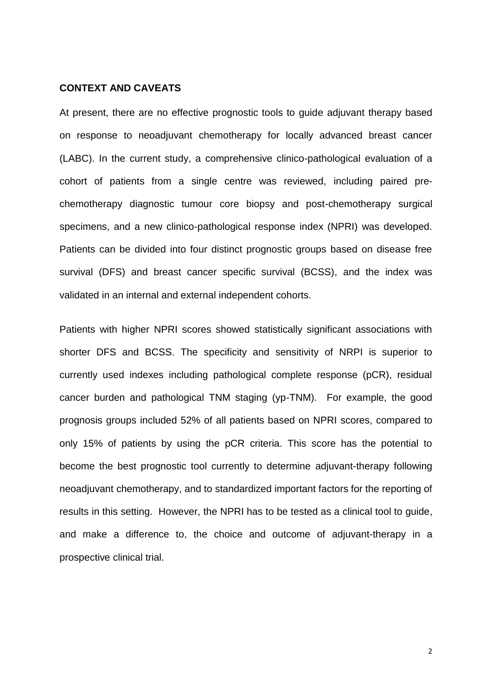#### **CONTEXT AND CAVEATS**

At present, there are no effective prognostic tools to guide adjuvant therapy based on response to neoadjuvant chemotherapy for locally advanced breast cancer (LABC). In the current study, a comprehensive clinico-pathological evaluation of a cohort of patients from a single centre was reviewed, including paired prechemotherapy diagnostic tumour core biopsy and post-chemotherapy surgical specimens, and a new clinico-pathological response index (NPRI) was developed. Patients can be divided into four distinct prognostic groups based on disease free survival (DFS) and breast cancer specific survival (BCSS), and the index was validated in an internal and external independent cohorts.

Patients with higher NPRI scores showed statistically significant associations with shorter DFS and BCSS. The specificity and sensitivity of NRPI is superior to currently used indexes including pathological complete response (pCR), residual cancer burden and pathological TNM staging (yp-TNM). For example, the good prognosis groups included 52% of all patients based on NPRI scores, compared to only 15% of patients by using the pCR criteria. This score has the potential to become the best prognostic tool currently to determine adjuvant-therapy following neoadjuvant chemotherapy, and to standardized important factors for the reporting of results in this setting. However, the NPRI has to be tested as a clinical tool to guide, and make a difference to, the choice and outcome of adjuvant-therapy in a prospective clinical trial.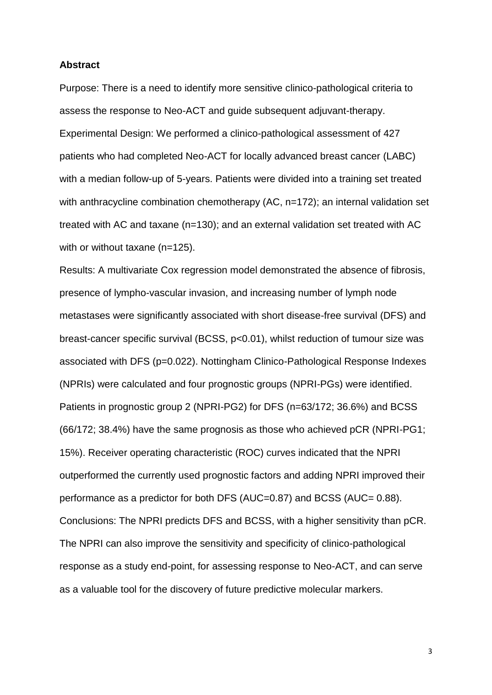#### **Abstract**

Purpose: There is a need to identify more sensitive clinico-pathological criteria to assess the response to Neo-ACT and guide subsequent adjuvant-therapy. Experimental Design: We performed a clinico-pathological assessment of 427 patients who had completed Neo-ACT for locally advanced breast cancer (LABC) with a median follow-up of 5-years. Patients were divided into a training set treated with anthracycline combination chemotherapy (AC, n=172); an internal validation set treated with AC and taxane (n=130); and an external validation set treated with AC with or without taxane (n=125).

Results: A multivariate Cox regression model demonstrated the absence of fibrosis, presence of lympho-vascular invasion, and increasing number of lymph node metastases were significantly associated with short disease-free survival (DFS) and breast-cancer specific survival (BCSS, p<0.01), whilst reduction of tumour size was associated with DFS (p=0.022). Nottingham Clinico-Pathological Response Indexes (NPRIs) were calculated and four prognostic groups (NPRI-PGs) were identified. Patients in prognostic group 2 (NPRI-PG2) for DFS (n=63/172; 36.6%) and BCSS (66/172; 38.4%) have the same prognosis as those who achieved pCR (NPRI-PG1; 15%). Receiver operating characteristic (ROC) curves indicated that the NPRI outperformed the currently used prognostic factors and adding NPRI improved their performance as a predictor for both DFS (AUC=0.87) and BCSS (AUC= 0.88). Conclusions: The NPRI predicts DFS and BCSS, with a higher sensitivity than pCR. The NPRI can also improve the sensitivity and specificity of clinico-pathological response as a study end-point, for assessing response to Neo-ACT, and can serve as a valuable tool for the discovery of future predictive molecular markers.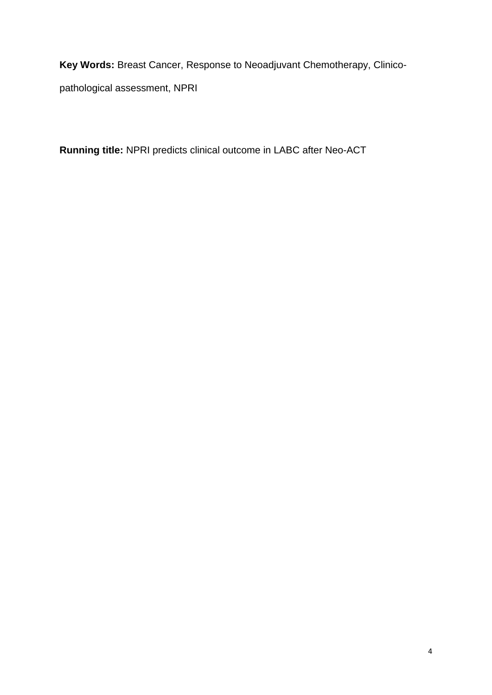**Key Words:** Breast Cancer, Response to Neoadjuvant Chemotherapy, Clinicopathological assessment, NPRI

**Running title:** NPRI predicts clinical outcome in LABC after Neo-ACT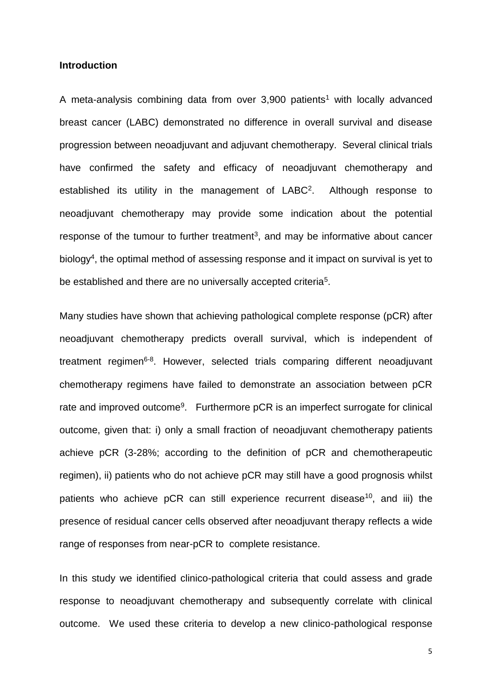#### **Introduction**

A meta-analysis combining data from over  $3.900$  patients<sup>[1](#page-28-0)</sup> with locally advanced breast cancer (LABC) demonstrated no difference in overall survival and disease progression between neoadjuvant and adjuvant chemotherapy. Several clinical trials have confirmed the safety and efficacy of neoadjuvant chemotherapy and established its utility in the management of LABC<sup>[2](#page-28-1)</sup>. Although response to neoadjuvant chemotherapy may provide some indication about the potential response of the tumour to further treatment<sup>[3](#page-28-2)</sup>, and may be informative about cancer biology<sup>[4](#page-28-3)</sup>, the optimal method of assessing response and it impact on survival is yet to be established and there are no universally accepted criteria<sup>[5](#page-28-4)</sup>.

Many studies have shown that achieving pathological complete response (pCR) after neoadjuvant chemotherapy predicts overall survival, which is independent of treatment regimen<sup>[6-8](#page-28-5)</sup>. However, selected trials comparing different neoadjuvant chemotherapy regimens have failed to demonstrate an association between pCR rate and improved outcome<sup>[9](#page-28-6)</sup>. Furthermore pCR is an imperfect surrogate for clinical outcome, given that: i) only a small fraction of neoadjuvant chemotherapy patients achieve pCR (3-28%; according to the definition of pCR and chemotherapeutic regimen), ii) patients who do not achieve pCR may still have a good prognosis whilst patients who achieve pCR can still experience recurrent disease<sup>[10](#page-28-7)</sup>, and iii) the presence of residual cancer cells observed after neoadjuvant therapy reflects a wide range of responses from near-pCR to complete resistance.

In this study we identified clinico-pathological criteria that could assess and grade response to neoadjuvant chemotherapy and subsequently correlate with clinical outcome. We used these criteria to develop a new clinico-pathological response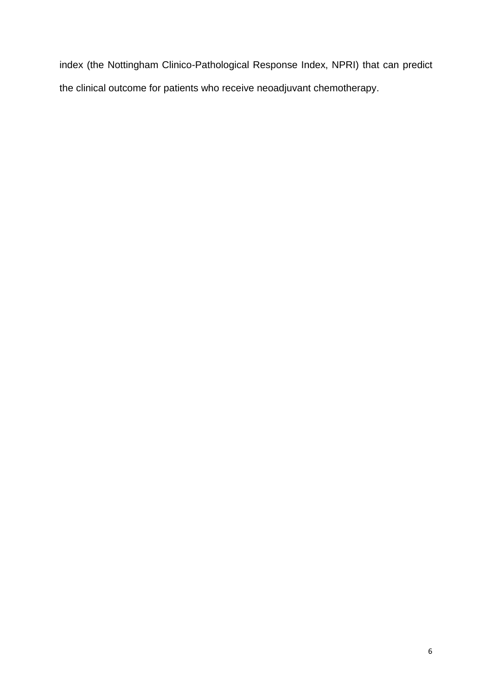index (the Nottingham Clinico-Pathological Response Index, NPRI) that can predict the clinical outcome for patients who receive neoadjuvant chemotherapy.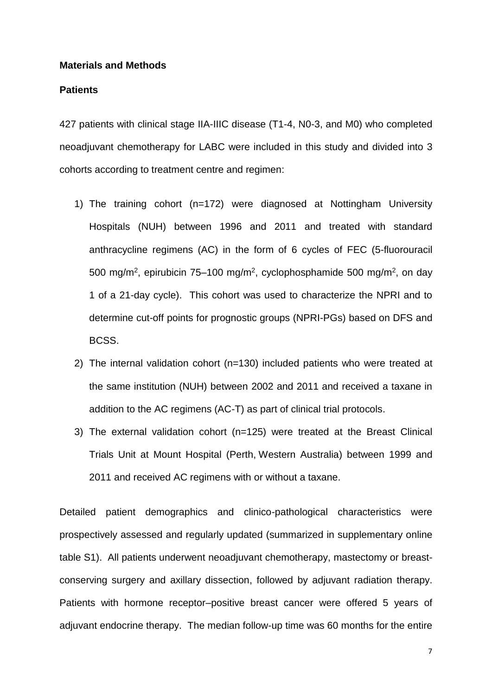#### **Materials and Methods**

#### **Patients**

427 patients with clinical stage IIA-IIIC disease (T1-4, N0-3, and M0) who completed neoadjuvant chemotherapy for LABC were included in this study and divided into 3 cohorts according to treatment centre and regimen:

- 1) The training cohort (n=172) were diagnosed at Nottingham University Hospitals (NUH) between 1996 and 2011 and treated with standard anthracycline regimens (AC) in the form of 6 cycles of FEC (5-fluorouracil 500 mg/m<sup>2</sup>, epirubicin 75–100 mg/m<sup>2</sup>, cyclophosphamide 500 mg/m<sup>2</sup>, on day 1 of a 21-day cycle). This cohort was used to characterize the NPRI and to determine cut-off points for prognostic groups (NPRI-PGs) based on DFS and BCSS.
- 2) The internal validation cohort (n=130) included patients who were treated at the same institution (NUH) between 2002 and 2011 and received a taxane in addition to the AC regimens (AC-T) as part of clinical trial protocols.
- 3) The external validation cohort (n=125) were treated at the Breast Clinical Trials Unit at Mount Hospital (Perth, Western Australia) between 1999 and 2011 and received AC regimens with or without a taxane.

Detailed patient demographics and clinico-pathological characteristics were prospectively assessed and regularly updated (summarized in supplementary online table S1). All patients underwent neoadjuvant chemotherapy, mastectomy or breastconserving surgery and axillary dissection, followed by adjuvant radiation therapy. Patients with hormone receptor–positive breast cancer were offered 5 years of adjuvant endocrine therapy. The median follow-up time was 60 months for the entire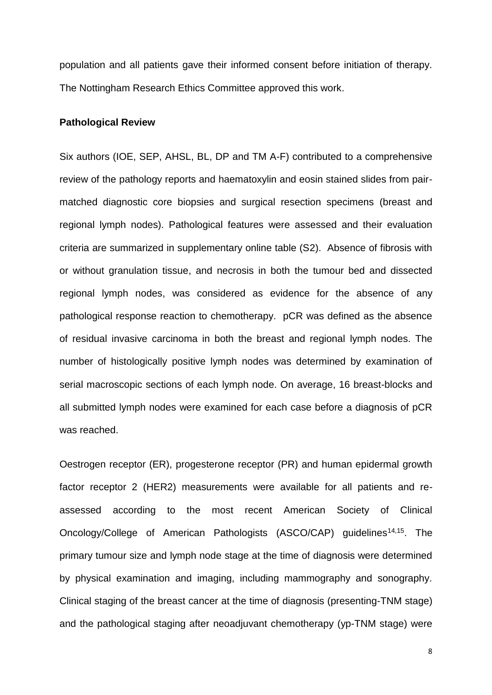population and all patients gave their informed consent before initiation of therapy. The Nottingham Research Ethics Committee approved this work.

#### **Pathological Review**

Six authors (IOE, SEP, AHSL, BL, DP and TM A-F) contributed to a comprehensive review of the pathology reports and haematoxylin and eosin stained slides from pairmatched diagnostic core biopsies and surgical resection specimens (breast and regional lymph nodes). Pathological features were assessed and their evaluation criteria are summarized in supplementary online table (S2). Absence of fibrosis with or without granulation tissue, and necrosis in both the tumour bed and dissected regional lymph nodes, was considered as evidence for the absence of any pathological response reaction to chemotherapy. pCR was defined as the absence of residual invasive carcinoma in both the breast and regional lymph nodes. The number of histologically positive lymph nodes was determined by examination of serial macroscopic sections of each lymph node. On average, 16 breast-blocks and all submitted lymph nodes were examined for each case before a diagnosis of pCR was reached.

Oestrogen receptor (ER), progesterone receptor (PR) and human epidermal growth factor receptor 2 (HER2) measurements were available for all patients and reassessed according to the most recent American Society of Clinical Oncology/College of American Pathologists (ASCO/CAP) guidelines<sup>[14](#page-28-8)[,15](#page-28-9)</sup>. The primary tumour size and lymph node stage at the time of diagnosis were determined by physical examination and imaging, including mammography and sonography. Clinical staging of the breast cancer at the time of diagnosis (presenting-TNM stage) and the pathological staging after neoadjuvant chemotherapy (yp-TNM stage) were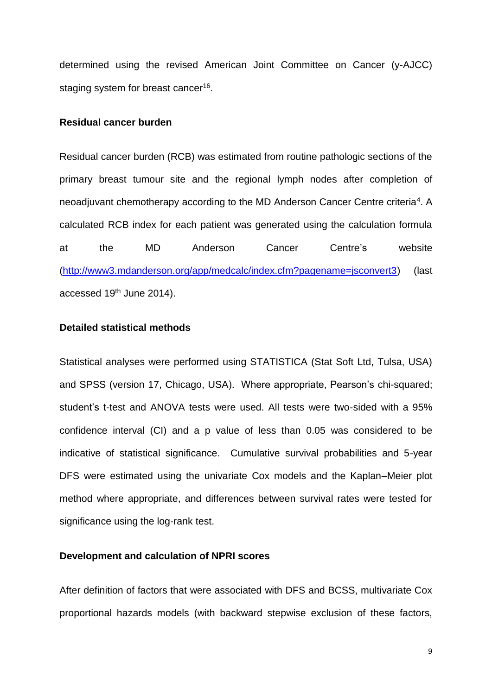determined using the revised American Joint Committee on Cancer (y-AJCC) staging system for breast cancer<sup>[16](#page-28-10)</sup>.

#### **Residual cancer burden**

Residual cancer burden (RCB) was estimated from routine pathologic sections of the primary breast tumour site and the regional lymph nodes after completion of neoadjuvant chemotherapy according to the MD Anderson Cancer Centre criteria<sup>[4](#page-28-3)</sup>. A calculated RCB index for each patient was generated using the calculation formula at the MD Anderson Cancer Centre's website [\(http://www3.mdanderson.org/app/medcalc/index.cfm?pagename=jsconvert3\)](http://www3.mdanderson.org/app/medcalc/index.cfm?pagename=jsconvert3) (last accessed 19<sup>th</sup> June 2014).

#### **Detailed statistical methods**

Statistical analyses were performed using STATISTICA (Stat Soft Ltd, Tulsa, USA) and SPSS (version 17, Chicago, USA). Where appropriate, Pearson's chi-squared; student's t-test and ANOVA tests were used. All tests were two-sided with a 95% confidence interval (CI) and a p value of less than 0.05 was considered to be indicative of statistical significance. Cumulative survival probabilities and 5-year DFS were estimated using the univariate Cox models and the Kaplan–Meier plot method where appropriate, and differences between survival rates were tested for significance using the log-rank test.

#### **Development and calculation of NPRI scores**

After definition of factors that were associated with DFS and BCSS, multivariate Cox proportional hazards models (with backward stepwise exclusion of these factors,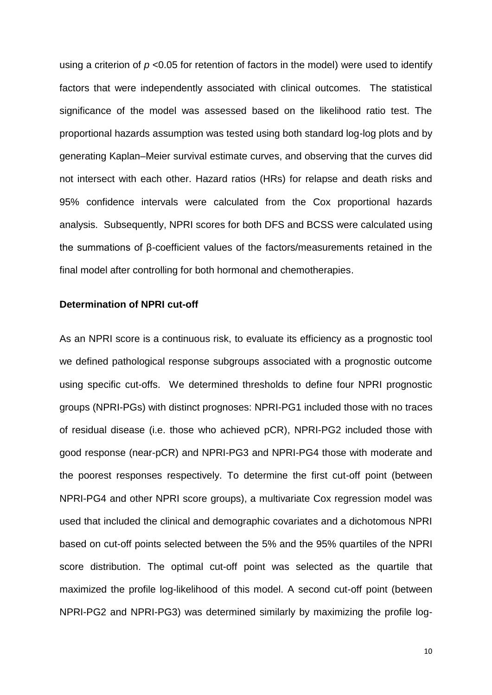using a criterion of *p* <0.05 for retention of factors in the model) were used to identify factors that were independently associated with clinical outcomes. The statistical significance of the model was assessed based on the likelihood ratio test. The proportional hazards assumption was tested using both standard log-log plots and by generating Kaplan–Meier survival estimate curves, and observing that the curves did not intersect with each other. Hazard ratios (HRs) for relapse and death risks and 95% confidence intervals were calculated from the Cox proportional hazards analysis. Subsequently, NPRI scores for both DFS and BCSS were calculated using the summations of β-coefficient values of the factors/measurements retained in the final model after controlling for both hormonal and chemotherapies.

#### **Determination of NPRI cut-off**

As an NPRI score is a continuous risk, to evaluate its efficiency as a prognostic tool we defined pathological response subgroups associated with a prognostic outcome using specific cut-offs. We determined thresholds to define four NPRI prognostic groups (NPRI-PGs) with distinct prognoses: NPRI-PG1 included those with no traces of residual disease (i.e. those who achieved pCR), NPRI-PG2 included those with good response (near-pCR) and NPRI-PG3 and NPRI-PG4 those with moderate and the poorest responses respectively. To determine the first cut-off point (between NPRI-PG4 and other NPRI score groups), a multivariate Cox regression model was used that included the clinical and demographic covariates and a dichotomous NPRI based on cut-off points selected between the 5% and the 95% quartiles of the NPRI score distribution. The optimal cut-off point was selected as the quartile that maximized the profile log-likelihood of this model. A second cut-off point (between NPRI-PG2 and NPRI-PG3) was determined similarly by maximizing the profile log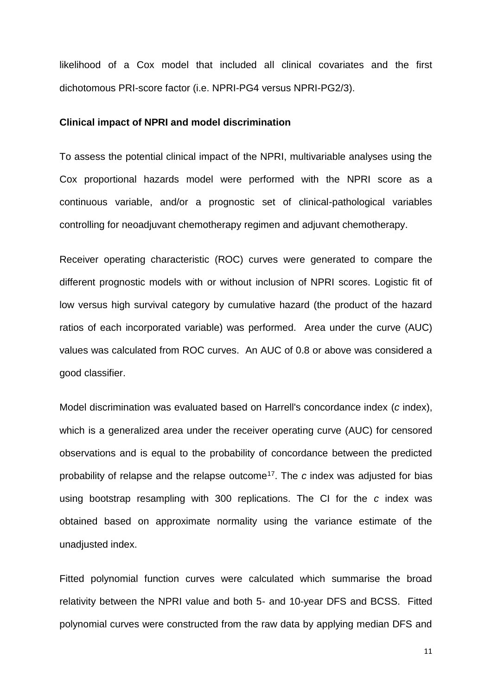likelihood of a Cox model that included all clinical covariates and the first dichotomous PRI-score factor (i.e. NPRI-PG4 versus NPRI-PG2/3).

#### **Clinical impact of NPRI and model discrimination**

To assess the potential clinical impact of the NPRI, multivariable analyses using the Cox proportional hazards model were performed with the NPRI score as a continuous variable, and/or a prognostic set of clinical-pathological variables controlling for neoadjuvant chemotherapy regimen and adjuvant chemotherapy.

Receiver operating characteristic (ROC) curves were generated to compare the different prognostic models with or without inclusion of NPRI scores. Logistic fit of low versus high survival category by cumulative hazard (the product of the hazard ratios of each incorporated variable) was performed. Area under the curve (AUC) values was calculated from ROC curves. An AUC of 0.8 or above was considered a good classifier.

Model discrimination was evaluated based on Harrell's concordance index (*c* index), which is a generalized area under the receiver operating curve (AUC) for censored observations and is equal to the probability of concordance between the predicted probability of relapse and the relapse outcome[17](#page-28-11). The *c* index was adjusted for bias using bootstrap resampling with 300 replications. The CI for the *c* index was obtained based on approximate normality using the variance estimate of the unadjusted index.

Fitted polynomial function curves were calculated which summarise the broad relativity between the NPRI value and both 5- and 10-year DFS and BCSS. Fitted polynomial curves were constructed from the raw data by applying median DFS and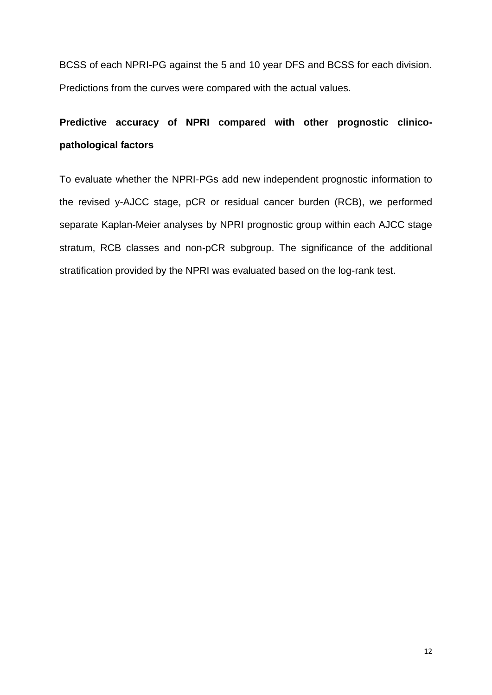BCSS of each NPRI-PG against the 5 and 10 year DFS and BCSS for each division. Predictions from the curves were compared with the actual values.

# **Predictive accuracy of NPRI compared with other prognostic clinicopathological factors**

To evaluate whether the NPRI-PGs add new independent prognostic information to the revised y-AJCC stage, pCR or residual cancer burden (RCB), we performed separate Kaplan-Meier analyses by NPRI prognostic group within each AJCC stage stratum, RCB classes and non-pCR subgroup. The significance of the additional stratification provided by the NPRI was evaluated based on the log-rank test.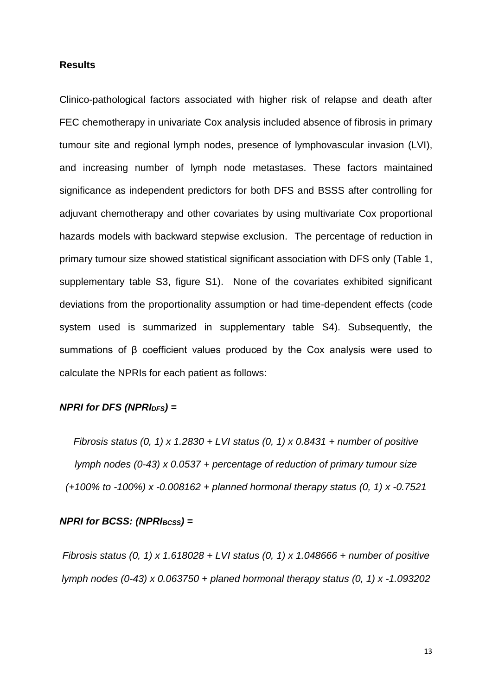#### **Results**

Clinico-pathological factors associated with higher risk of relapse and death after FEC chemotherapy in univariate Cox analysis included absence of fibrosis in primary tumour site and regional lymph nodes, presence of lymphovascular invasion (LVI), and increasing number of lymph node metastases. These factors maintained significance as independent predictors for both DFS and BSSS after controlling for adjuvant chemotherapy and other covariates by using multivariate Cox proportional hazards models with backward stepwise exclusion. The percentage of reduction in primary tumour size showed statistical significant association with DFS only (Table 1, supplementary table S3, figure S1). None of the covariates exhibited significant deviations from the proportionality assumption or had time-dependent effects (code system used is summarized in supplementary table S4). Subsequently, the summations of β coefficient values produced by the Cox analysis were used to calculate the NPRIs for each patient as follows:

### *NPRI for DFS (NPRIDFS) =*

*Fibrosis status (0, 1) x 1.2830 + LVI status (0, 1) x 0.8431 + number of positive lymph nodes (0-43) x 0.0537 + percentage of reduction of primary tumour size (+100% to -100%) x -0.008162 + planned hormonal therapy status (0, 1) x -0.7521*

#### *NPRI for BCSS: (NPRI<sub>BCSS</sub>)* =

*Fibrosis status (0, 1) x 1.618028 + LVI status (0, 1) x 1.048666 + number of positive lymph nodes (0-43) x 0.063750 + planed hormonal therapy status (0, 1) x -1.093202*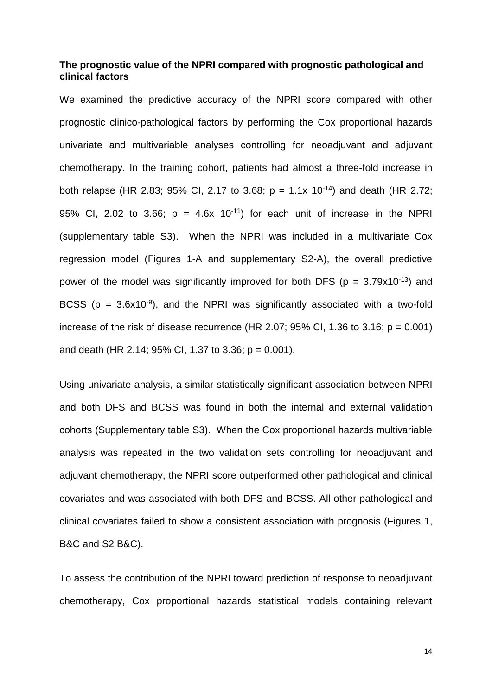#### **The prognostic value of the NPRI compared with prognostic pathological and clinical factors**

We examined the predictive accuracy of the NPRI score compared with other prognostic clinico-pathological factors by performing the Cox proportional hazards univariate and multivariable analyses controlling for neoadjuvant and adjuvant chemotherapy. In the training cohort, patients had almost a three-fold increase in both relapse (HR 2.83; 95% CI, 2.17 to 3.68;  $p = 1.1x 10^{-14}$ ) and death (HR 2.72; 95% CI, 2.02 to 3.66;  $p = 4.6x \cdot 10^{-11}$  for each unit of increase in the NPRI (supplementary table S3). When the NPRI was included in a multivariate Cox regression model (Figures 1-A and supplementary S2-A), the overall predictive power of the model was significantly improved for both DFS ( $p = 3.79 \times 10^{-13}$ ) and BCSS ( $p = 3.6x10^{-9}$ ), and the NPRI was significantly associated with a two-fold increase of the risk of disease recurrence (HR 2.07; 95% CI, 1.36 to 3.16;  $p = 0.001$ ) and death (HR 2.14; 95% CI, 1.37 to 3.36;  $p = 0.001$ ).

Using univariate analysis, a similar statistically significant association between NPRI and both DFS and BCSS was found in both the internal and external validation cohorts (Supplementary table S3). When the Cox proportional hazards multivariable analysis was repeated in the two validation sets controlling for neoadjuvant and adjuvant chemotherapy, the NPRI score outperformed other pathological and clinical covariates and was associated with both DFS and BCSS. All other pathological and clinical covariates failed to show a consistent association with prognosis (Figures 1, B&C and S2 B&C).

To assess the contribution of the NPRI toward prediction of response to neoadjuvant chemotherapy, Cox proportional hazards statistical models containing relevant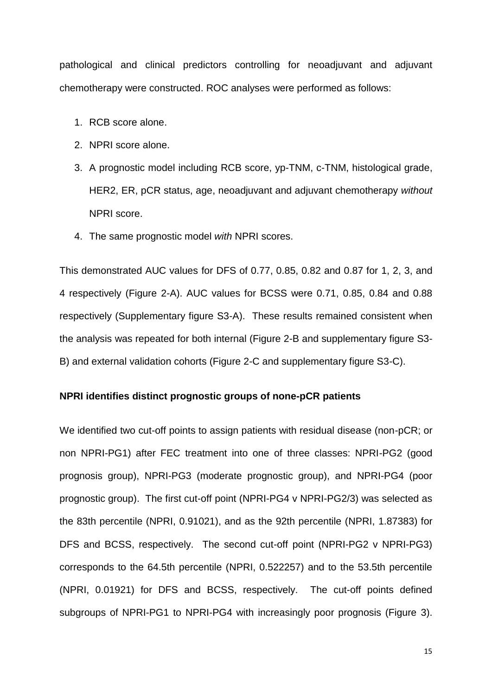pathological and clinical predictors controlling for neoadjuvant and adjuvant chemotherapy were constructed. ROC analyses were performed as follows:

- 1. RCB score alone.
- 2. NPRI score alone.
- 3. A prognostic model including RCB score, yp-TNM, c-TNM, histological grade, HER2, ER, pCR status, age, neoadjuvant and adjuvant chemotherapy *without* NPRI score.
- 4. The same prognostic model *with* NPRI scores.

This demonstrated AUC values for DFS of 0.77, 0.85, 0.82 and 0.87 for 1, 2, 3, and 4 respectively (Figure 2-A). AUC values for BCSS were 0.71, 0.85, 0.84 and 0.88 respectively (Supplementary figure S3-A). These results remained consistent when the analysis was repeated for both internal (Figure 2-B and supplementary figure S3- B) and external validation cohorts (Figure 2-C and supplementary figure S3-C).

#### **NPRI identifies distinct prognostic groups of none-pCR patients**

We identified two cut-off points to assign patients with residual disease (non-pCR; or non NPRI-PG1) after FEC treatment into one of three classes: NPRI-PG2 (good prognosis group), NPRI-PG3 (moderate prognostic group), and NPRI-PG4 (poor prognostic group). The first cut-off point (NPRI-PG4 v NPRI-PG2/3) was selected as the 83th percentile (NPRI, 0.91021), and as the 92th percentile (NPRI, 1.87383) for DFS and BCSS, respectively. The second cut-off point (NPRI-PG2 v NPRI-PG3) corresponds to the 64.5th percentile (NPRI, 0.522257) and to the 53.5th percentile (NPRI, 0.01921) for DFS and BCSS, respectively. The cut-off points defined subgroups of NPRI-PG1 to NPRI-PG4 with increasingly poor prognosis (Figure 3).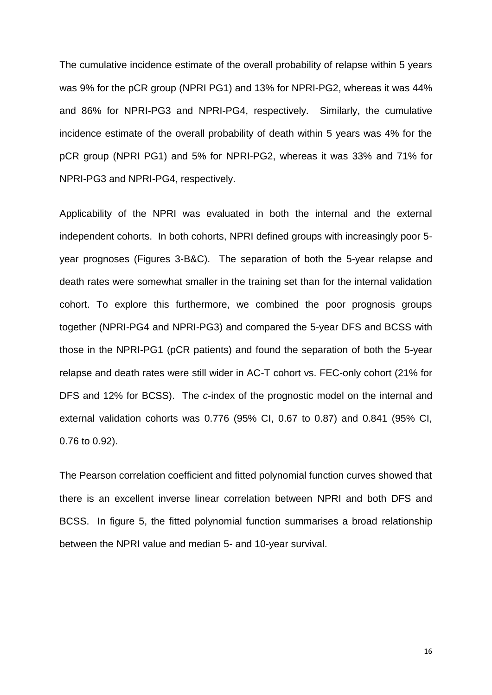The cumulative incidence estimate of the overall probability of relapse within 5 years was 9% for the pCR group (NPRI PG1) and 13% for NPRI-PG2, whereas it was 44% and 86% for NPRI-PG3 and NPRI-PG4, respectively. Similarly, the cumulative incidence estimate of the overall probability of death within 5 years was 4% for the pCR group (NPRI PG1) and 5% for NPRI-PG2, whereas it was 33% and 71% for NPRI-PG3 and NPRI-PG4, respectively.

Applicability of the NPRI was evaluated in both the internal and the external independent cohorts. In both cohorts, NPRI defined groups with increasingly poor 5 year prognoses (Figures 3-B&C). The separation of both the 5-year relapse and death rates were somewhat smaller in the training set than for the internal validation cohort. To explore this furthermore, we combined the poor prognosis groups together (NPRI-PG4 and NPRI-PG3) and compared the 5-year DFS and BCSS with those in the NPRI-PG1 (pCR patients) and found the separation of both the 5-year relapse and death rates were still wider in AC-T cohort vs. FEC-only cohort (21% for DFS and 12% for BCSS). The *c*-index of the prognostic model on the internal and external validation cohorts was 0.776 (95% CI, 0.67 to 0.87) and 0.841 (95% CI, 0.76 to 0.92).

The Pearson correlation coefficient and fitted polynomial function curves showed that there is an excellent inverse linear correlation between NPRI and both DFS and BCSS. In figure 5, the fitted polynomial function summarises a broad relationship between the NPRI value and median 5- and 10-year survival.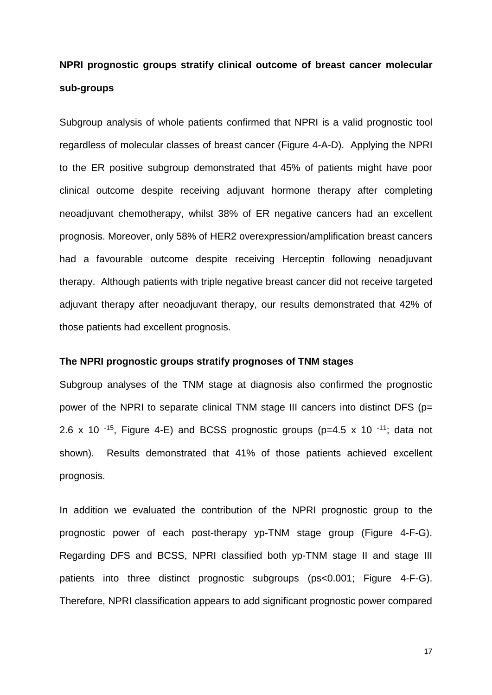# **NPRI prognostic groups stratify clinical outcome of breast cancer molecular sub-groups**

Subgroup analysis of whole patients confirmed that NPRI is a valid prognostic tool regardless of molecular classes of breast cancer (Figure 4-A-D). Applying the NPRI to the ER positive subgroup demonstrated that 45% of patients might have poor clinical outcome despite receiving adjuvant hormone therapy after completing neoadjuvant chemotherapy, whilst 38% of ER negative cancers had an excellent prognosis. Moreover, only 58% of HER2 overexpression/amplification breast cancers had a favourable outcome despite receiving Herceptin following neoadjuvant therapy. Although patients with triple negative breast cancer did not receive targeted adjuvant therapy after neoadjuvant therapy, our results demonstrated that 42% of those patients had excellent prognosis.

#### **The NPRI prognostic groups stratify prognoses of TNM stages**

Subgroup analyses of the TNM stage at diagnosis also confirmed the prognostic power of the NPRI to separate clinical TNM stage III cancers into distinct DFS (p= 2.6 x 10<sup>-15</sup>, Figure 4-E) and BCSS prognostic groups (p=4.5 x 10<sup>-11</sup>; data not shown). Results demonstrated that 41% of those patients achieved excellent prognosis.

In addition we evaluated the contribution of the NPRI prognostic group to the prognostic power of each post-therapy yp-TNM stage group (Figure 4-F-G). Regarding DFS and BCSS, NPRI classified both yp-TNM stage II and stage III patients into three distinct prognostic subgroups (ps<0.001; Figure 4-F-G). Therefore, NPRI classification appears to add significant prognostic power compared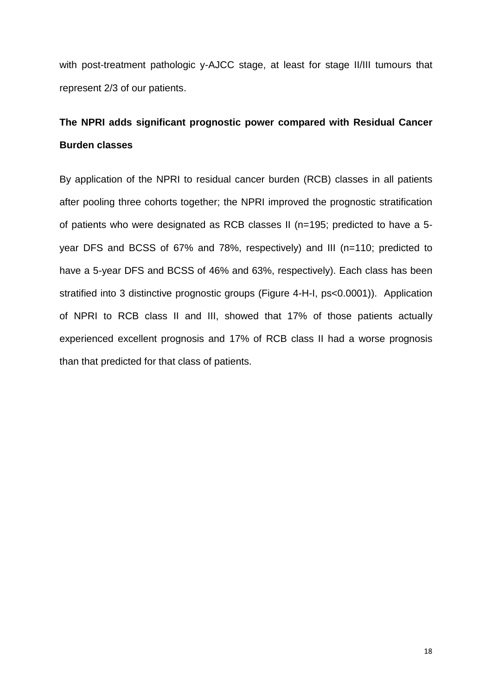with post-treatment pathologic y-AJCC stage, at least for stage II/III tumours that represent 2/3 of our patients.

# **The NPRI adds significant prognostic power compared with Residual Cancer Burden classes**

By application of the NPRI to residual cancer burden (RCB) classes in all patients after pooling three cohorts together; the NPRI improved the prognostic stratification of patients who were designated as RCB classes II (n=195; predicted to have a 5 year DFS and BCSS of 67% and 78%, respectively) and III (n=110; predicted to have a 5-year DFS and BCSS of 46% and 63%, respectively). Each class has been stratified into 3 distinctive prognostic groups (Figure 4-H-I, ps<0.0001)). Application of NPRI to RCB class II and III, showed that 17% of those patients actually experienced excellent prognosis and 17% of RCB class II had a worse prognosis than that predicted for that class of patients.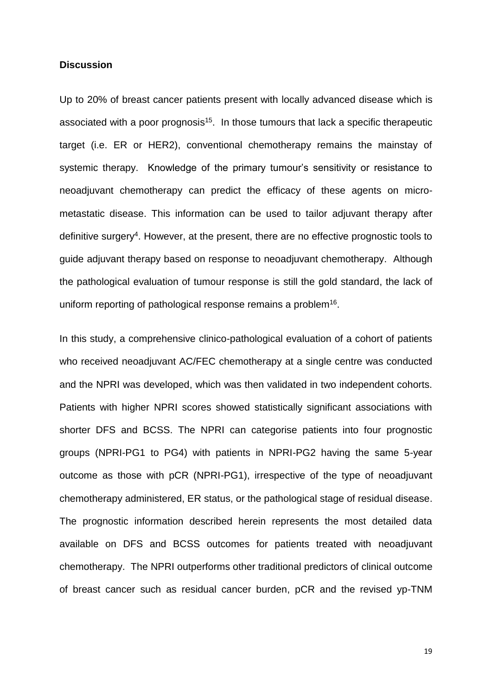#### **Discussion**

Up to 20% of breast cancer patients present with locally advanced disease which is associated with a poor prognosis<sup>[15](#page-28-9)</sup>. In those tumours that lack a specific therapeutic target (i.e. ER or HER2), conventional chemotherapy remains the mainstay of systemic therapy. Knowledge of the primary tumour's sensitivity or resistance to neoadjuvant chemotherapy can predict the efficacy of these agents on micrometastatic disease. This information can be used to tailor adjuvant therapy after definitive surgery<sup>[4](#page-28-3)</sup>. However, at the present, there are no effective prognostic tools to guide adjuvant therapy based on response to neoadjuvant chemotherapy. Although the pathological evaluation of tumour response is still the gold standard, the lack of uniform reporting of pathological response remains a problem<sup>[16](#page-28-10)</sup>.

In this study, a comprehensive clinico-pathological evaluation of a cohort of patients who received neoadjuvant AC/FEC chemotherapy at a single centre was conducted and the NPRI was developed, which was then validated in two independent cohorts. Patients with higher NPRI scores showed statistically significant associations with shorter DFS and BCSS. The NPRI can categorise patients into four prognostic groups (NPRI-PG1 to PG4) with patients in NPRI-PG2 having the same 5-year outcome as those with pCR (NPRI-PG1), irrespective of the type of neoadjuvant chemotherapy administered, ER status, or the pathological stage of residual disease. The prognostic information described herein represents the most detailed data available on DFS and BCSS outcomes for patients treated with neoadjuvant chemotherapy. The NPRI outperforms other traditional predictors of clinical outcome of breast cancer such as residual cancer burden, pCR and the revised yp-TNM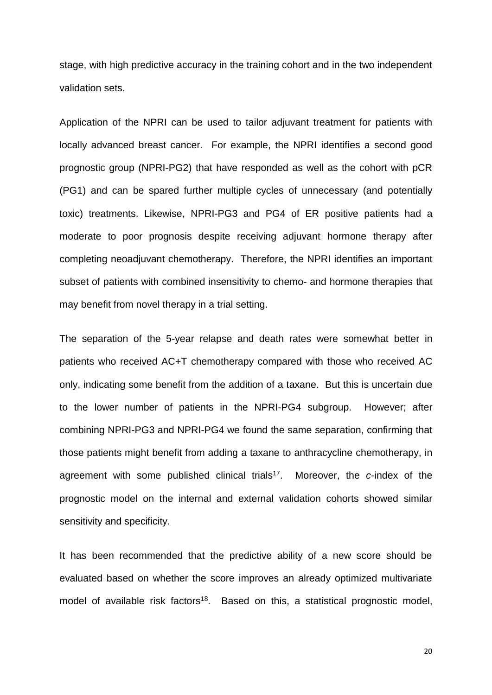stage, with high predictive accuracy in the training cohort and in the two independent validation sets.

Application of the NPRI can be used to tailor adjuvant treatment for patients with locally advanced breast cancer. For example, the NPRI identifies a second good prognostic group (NPRI-PG2) that have responded as well as the cohort with pCR (PG1) and can be spared further multiple cycles of unnecessary (and potentially toxic) treatments. Likewise, NPRI-PG3 and PG4 of ER positive patients had a moderate to poor prognosis despite receiving adjuvant hormone therapy after completing neoadjuvant chemotherapy. Therefore, the NPRI identifies an important subset of patients with combined insensitivity to chemo- and hormone therapies that may benefit from novel therapy in a trial setting.

The separation of the 5-year relapse and death rates were somewhat better in patients who received AC+T chemotherapy compared with those who received AC only, indicating some benefit from the addition of a taxane. But this is uncertain due to the lower number of patients in the NPRI-PG4 subgroup. However; after combining NPRI-PG3 and NPRI-PG4 we found the same separation, confirming that those patients might benefit from adding a taxane to anthracycline chemotherapy, in agreement with some published clinical trials<sup>[17](#page-28-11)</sup>. Moreover, the *c*-index of the prognostic model on the internal and external validation cohorts showed similar sensitivity and specificity.

It has been recommended that the predictive ability of a new score should be evaluated based on whether the score improves an already optimized multivariate model of available risk factors<sup>[18](#page-28-12)</sup>. Based on this, a statistical prognostic model,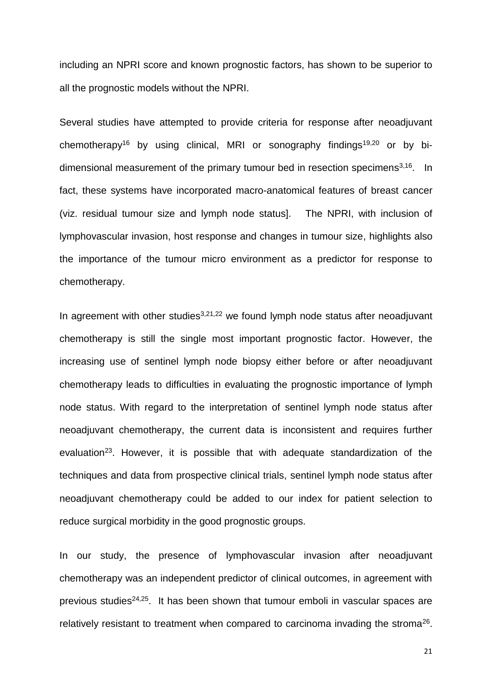including an NPRI score and known prognostic factors, has shown to be superior to all the prognostic models without the NPRI.

Several studies have attempted to provide criteria for response after neoadjuvant chemotherapy<sup>[16](#page-28-10)</sup> by using clinical, MRI or sonography findings<sup>[19](#page-28-13)[,20](#page-28-14)</sup> or by bi-dimensional measurement of the primary tumour bed in resection specimens<sup>[3,](#page-28-2)[16](#page-28-10)</sup>. In fact, these systems have incorporated macro-anatomical features of breast cancer (viz. residual tumour size and lymph node status]. The NPRI, with inclusion of lymphovascular invasion, host response and changes in tumour size, highlights also the importance of the tumour micro environment as a predictor for response to chemotherapy.

In agreement with other studies $3,21,22$  $3,21,22$  $3,21,22$  we found lymph node status after neoadjuvant chemotherapy is still the single most important prognostic factor. However, the increasing use of sentinel lymph node biopsy either before or after neoadjuvant chemotherapy leads to difficulties in evaluating the prognostic importance of lymph node status. With regard to the interpretation of sentinel lymph node status after neoadjuvant chemotherapy, the current data is inconsistent and requires further evaluation<sup>[23](#page-29-2)</sup>. However, it is possible that with adequate standardization of the techniques and data from prospective clinical trials, sentinel lymph node status after neoadjuvant chemotherapy could be added to our index for patient selection to reduce surgical morbidity in the good prognostic groups.

In our study, the presence of lymphovascular invasion after neoadjuvant chemotherapy was an independent predictor of clinical outcomes, in agreement with previous studies<sup>[24,](#page-29-3)[25](#page-29-4)</sup>. It has been shown that tumour emboli in vascular spaces are relatively resistant to treatment when compared to carcinoma invading the stroma $26$ .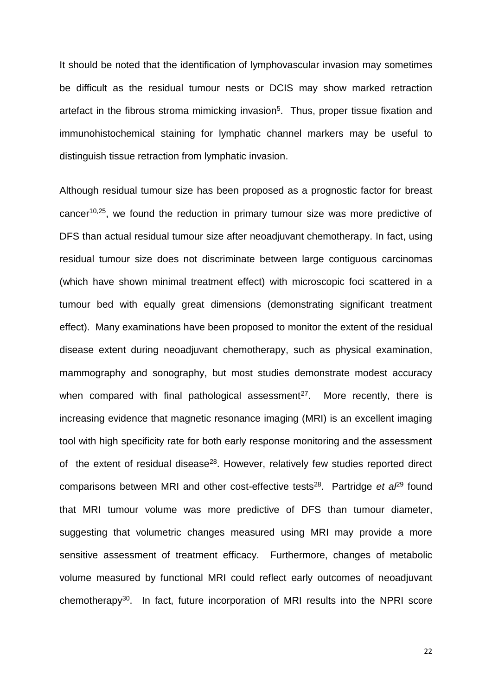It should be noted that the identification of lymphovascular invasion may sometimes be difficult as the residual tumour nests or DCIS may show marked retraction artefact in the fibrous stroma mimicking invasion<sup>[5](#page-28-4)</sup>. Thus, proper tissue fixation and immunohistochemical staining for lymphatic channel markers may be useful to distinguish tissue retraction from lymphatic invasion.

Although residual tumour size has been proposed as a prognostic factor for breast cancer<sup>[10](#page-28-7)[,25](#page-29-4)</sup>, we found the reduction in primary tumour size was more predictive of DFS than actual residual tumour size after neoadjuvant chemotherapy. In fact, using residual tumour size does not discriminate between large contiguous carcinomas (which have shown minimal treatment effect) with microscopic foci scattered in a tumour bed with equally great dimensions (demonstrating significant treatment effect). Many examinations have been proposed to monitor the extent of the residual disease extent during neoadjuvant chemotherapy, such as physical examination, mammography and sonography, but most studies demonstrate modest accuracy when compared with final pathological assessment<sup>[27](#page-29-6)</sup>. More recently, there is increasing evidence that magnetic resonance imaging (MRI) is an excellent imaging tool with high specificity rate for both early response monitoring and the assessment of the extent of residual disease<sup>[28](#page-29-7)</sup>. However, relatively few studies reported direct comparisons between MRI and other cost-effective tests<sup>[28](#page-29-7)</sup>. Partridge et a<sup>p<sub>9</sub></sup> found that MRI tumour volume was more predictive of DFS than tumour diameter, suggesting that volumetric changes measured using MRI may provide a more sensitive assessment of treatment efficacy. Furthermore, changes of metabolic volume measured by functional MRI could reflect early outcomes of neoadjuvant chemotherapy[30](#page-29-9). In fact, future incorporation of MRI results into the NPRI score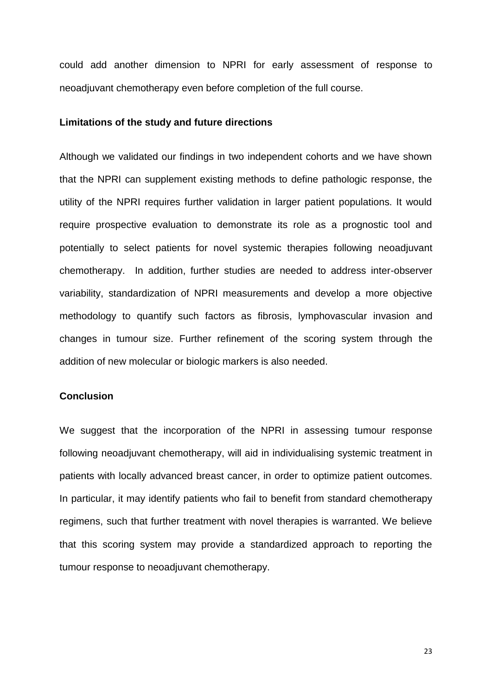could add another dimension to NPRI for early assessment of response to neoadjuvant chemotherapy even before completion of the full course.

#### **Limitations of the study and future directions**

Although we validated our findings in two independent cohorts and we have shown that the NPRI can supplement existing methods to define pathologic response, the utility of the NPRI requires further validation in larger patient populations. It would require prospective evaluation to demonstrate its role as a prognostic tool and potentially to select patients for novel systemic therapies following neoadjuvant chemotherapy. In addition, further studies are needed to address inter-observer variability, standardization of NPRI measurements and develop a more objective methodology to quantify such factors as fibrosis, lymphovascular invasion and changes in tumour size. Further refinement of the scoring system through the addition of new molecular or biologic markers is also needed.

#### **Conclusion**

We suggest that the incorporation of the NPRI in assessing tumour response following neoadjuvant chemotherapy, will aid in individualising systemic treatment in patients with locally advanced breast cancer, in order to optimize patient outcomes. In particular, it may identify patients who fail to benefit from standard chemotherapy regimens, such that further treatment with novel therapies is warranted. We believe that this scoring system may provide a standardized approach to reporting the tumour response to neoadjuvant chemotherapy.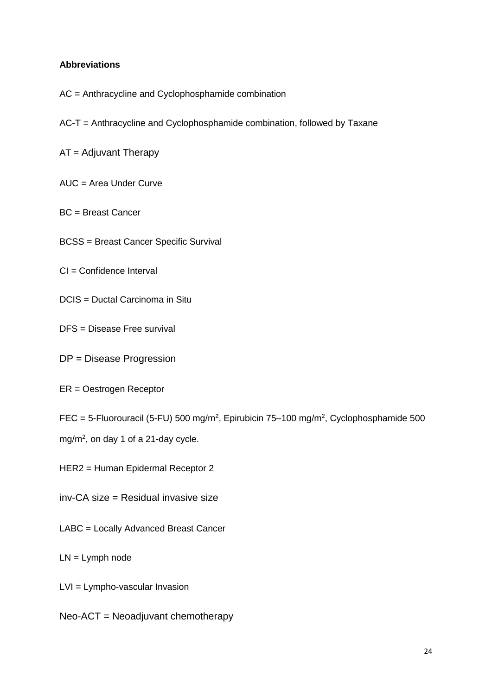#### **Abbreviations**

- AC = Anthracycline and Cyclophosphamide combination
- AC-T = Anthracycline and Cyclophosphamide combination, followed by Taxane
- AT = Adjuvant Therapy
- AUC = Area Under Curve
- BC = Breast Cancer
- BCSS = Breast Cancer Specific Survival
- CI = Confidence Interval
- DCIS = Ductal Carcinoma in Situ
- DFS = Disease Free survival
- DP = Disease Progression
- ER = Oestrogen Receptor
- FEC = 5-Fluorouracil (5-FU) 500 mg/m<sup>2</sup>, Epirubicin 75–100 mg/m<sup>2</sup>, Cyclophosphamide 500
- mg/m<sup>2</sup>, on day 1 of a 21-day cycle.
- HER2 = Human Epidermal Receptor 2
- inv-CA size = Residual invasive size
- LABC = Locally Advanced Breast Cancer
- LN = Lymph node
- LVI = Lympho-vascular Invasion
- Neo-ACT = Neoadjuvant chemotherapy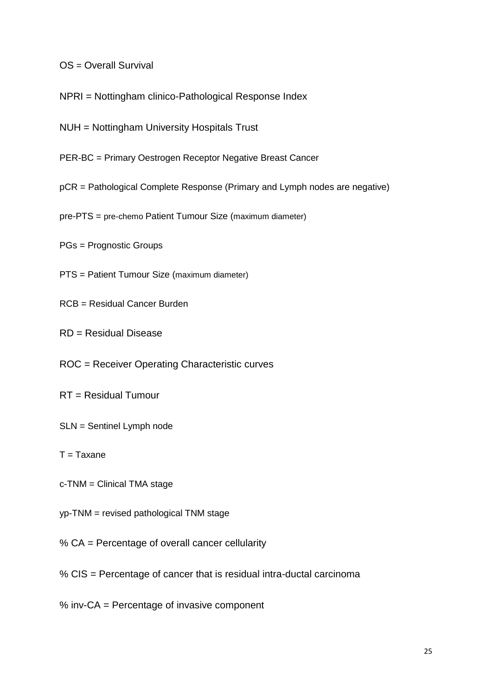- OS = Overall Survival
- NPRI = Nottingham clinico-Pathological Response Index
- NUH = Nottingham University Hospitals Trust
- PER-BC = Primary Oestrogen Receptor Negative Breast Cancer
- pCR = Pathological Complete Response (Primary and Lymph nodes are negative)
- pre-PTS = pre-chemo Patient Tumour Size (maximum diameter)
- PGs = Prognostic Groups
- PTS = Patient Tumour Size (maximum diameter)
- RCB = Residual Cancer Burden
- RD = Residual Disease
- ROC = Receiver Operating Characteristic curves
- RT = Residual Tumour
- SLN = Sentinel Lymph node
- $T = Taxane$
- c-TNM = Clinical TMA stage
- yp-TNM = revised pathological TNM stage
- % CA = Percentage of overall cancer cellularity
- % CIS = Percentage of cancer that is residual intra-ductal carcinoma
- % inv-CA = Percentage of invasive component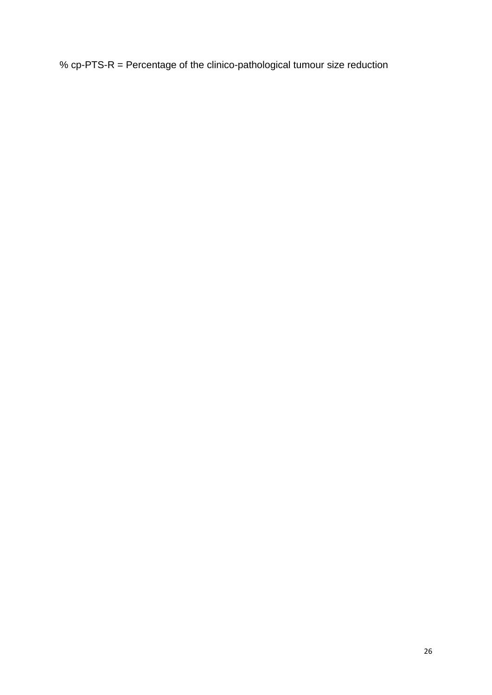% cp-PTS-R = Percentage of the clinico-pathological tumour size reduction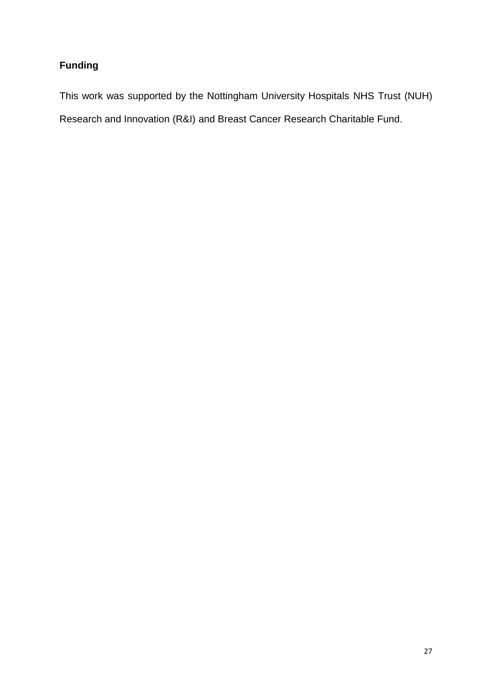# **Funding**

This work was supported by the Nottingham University Hospitals NHS Trust (NUH) Research and Innovation (R&I) and Breast Cancer Research Charitable Fund.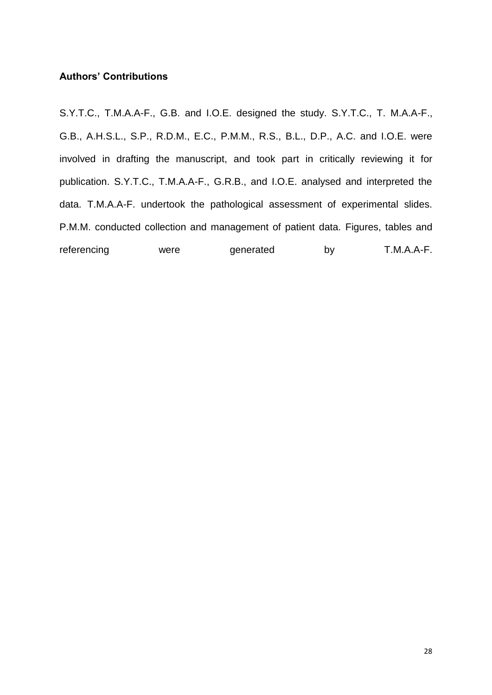#### **Authors' Contributions**

S.Y.T.C., T.M.A.A-F., G.B. and I.O.E. designed the study. S.Y.T.C., T. M.A.A-F., G.B., A.H.S.L., S.P., R.D.M., E.C., P.M.M., R.S., B.L., D.P., A.C. and I.O.E. were involved in drafting the manuscript, and took part in critically reviewing it for publication. S.Y.T.C., T.M.A.A-F., G.R.B., and I.O.E. analysed and interpreted the data. T.M.A.A-F. undertook the pathological assessment of experimental slides. P.M.M. conducted collection and management of patient data. Figures, tables and referencing were generated by T.M.A.A-F.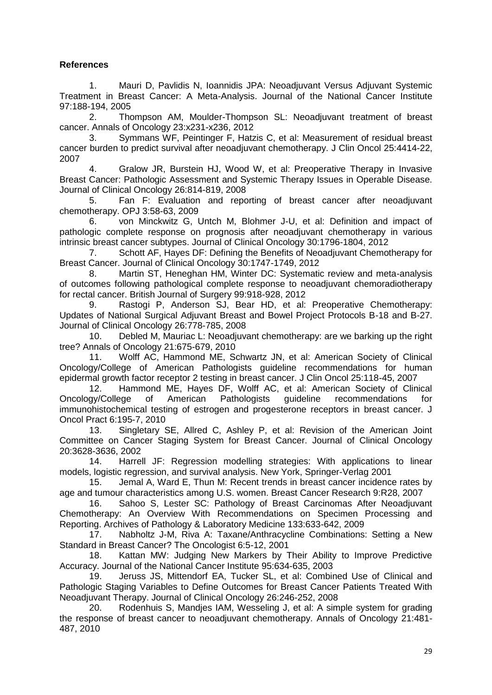### **References**

<span id="page-28-0"></span>1. Mauri D, Pavlidis N, Ioannidis JPA: Neoadjuvant Versus Adjuvant Systemic Treatment in Breast Cancer: A Meta-Analysis. Journal of the National Cancer Institute 97:188-194, 2005

<span id="page-28-1"></span>2. Thompson AM, Moulder-Thompson SL: Neoadjuvant treatment of breast cancer. Annals of Oncology 23:x231-x236, 2012

<span id="page-28-2"></span>Symmans WF, Peintinger F, Hatzis C, et al: Measurement of residual breast cancer burden to predict survival after neoadjuvant chemotherapy. J Clin Oncol 25:4414-22, 2007

<span id="page-28-3"></span>4. Gralow JR, Burstein HJ, Wood W, et al: Preoperative Therapy in Invasive Breast Cancer: Pathologic Assessment and Systemic Therapy Issues in Operable Disease. Journal of Clinical Oncology 26:814-819, 2008

<span id="page-28-4"></span>5. Fan F: Evaluation and reporting of breast cancer after neoadjuvant chemotherapy. OPJ 3:58-63, 2009

<span id="page-28-5"></span>6. von Minckwitz G, Untch M, Blohmer J-U, et al: Definition and impact of pathologic complete response on prognosis after neoadjuvant chemotherapy in various intrinsic breast cancer subtypes. Journal of Clinical Oncology 30:1796-1804, 2012

7. Schott AF, Hayes DF: Defining the Benefits of Neoadjuvant Chemotherapy for Breast Cancer. Journal of Clinical Oncology 30:1747-1749, 2012

8. Martin ST, Heneghan HM, Winter DC: Systematic review and meta-analysis of outcomes following pathological complete response to neoadjuvant chemoradiotherapy for rectal cancer. British Journal of Surgery 99:918-928, 2012

<span id="page-28-6"></span>9. Rastogi P, Anderson SJ, Bear HD, et al: Preoperative Chemotherapy: Updates of National Surgical Adjuvant Breast and Bowel Project Protocols B-18 and B-27. Journal of Clinical Oncology 26:778-785, 2008

<span id="page-28-7"></span>10. Debled M, Mauriac L: Neoadjuvant chemotherapy: are we barking up the right tree? Annals of Oncology 21:675-679, 2010

11. Wolff AC, Hammond ME, Schwartz JN, et al: American Society of Clinical Oncology/College of American Pathologists guideline recommendations for human epidermal growth factor receptor 2 testing in breast cancer. J Clin Oncol 25:118-45, 2007

12. Hammond ME, Hayes DF, Wolff AC, et al: American Society of Clinical Oncology/College of American Pathologists guideline recommendations for immunohistochemical testing of estrogen and progesterone receptors in breast cancer. J Oncol Pract 6:195-7, 2010

13. Singletary SE, Allred C, Ashley P, et al: Revision of the American Joint Committee on Cancer Staging System for Breast Cancer. Journal of Clinical Oncology 20:3628-3636, 2002

<span id="page-28-8"></span>14. Harrell JF: Regression modelling strategies: With applications to linear models, logistic regression, and survival analysis. New York, Springer-Verlag 2001

<span id="page-28-9"></span>15. Jemal A, Ward E, Thun M: Recent trends in breast cancer incidence rates by age and tumour characteristics among U.S. women. Breast Cancer Research 9:R28, 2007

<span id="page-28-10"></span>16. Sahoo S, Lester SC: Pathology of Breast Carcinomas After Neoadjuvant Chemotherapy: An Overview With Recommendations on Specimen Processing and Reporting. Archives of Pathology & Laboratory Medicine 133:633-642, 2009

<span id="page-28-11"></span>17. Nabholtz J-M, Riva A: Taxane/Anthracycline Combinations: Setting a New Standard in Breast Cancer? The Oncologist 6:5-12, 2001

<span id="page-28-12"></span>18. Kattan MW: Judging New Markers by Their Ability to Improve Predictive Accuracy. Journal of the National Cancer Institute 95:634-635, 2003

<span id="page-28-13"></span>19. Jeruss JS, Mittendorf EA, Tucker SL, et al: Combined Use of Clinical and Pathologic Staging Variables to Define Outcomes for Breast Cancer Patients Treated With Neoadjuvant Therapy. Journal of Clinical Oncology 26:246-252, 2008

<span id="page-28-14"></span>20. Rodenhuis S, Mandjes IAM, Wesseling J, et al: A simple system for grading the response of breast cancer to neoadjuvant chemotherapy. Annals of Oncology 21:481- 487, 2010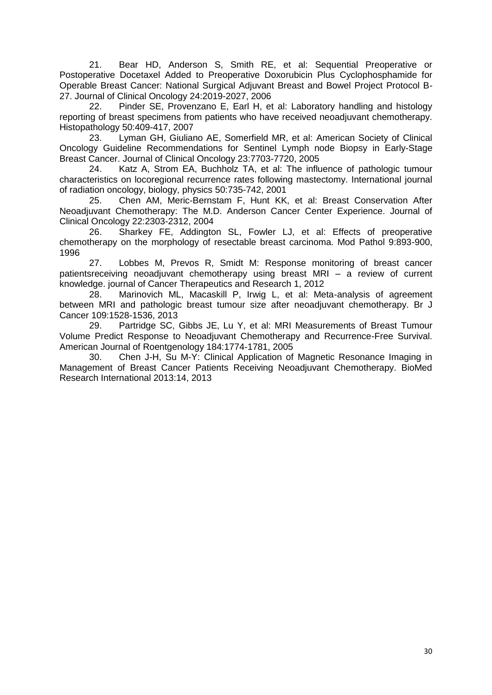<span id="page-29-0"></span>21. Bear HD, Anderson S, Smith RE, et al: Sequential Preoperative or Postoperative Docetaxel Added to Preoperative Doxorubicin Plus Cyclophosphamide for Operable Breast Cancer: National Surgical Adjuvant Breast and Bowel Project Protocol B-27. Journal of Clinical Oncology 24:2019-2027, 2006

<span id="page-29-1"></span>22. Pinder SE, Provenzano E, Earl H, et al: Laboratory handling and histology reporting of breast specimens from patients who have received neoadjuvant chemotherapy. Histopathology 50:409-417, 2007

<span id="page-29-2"></span>23. Lyman GH, Giuliano AE, Somerfield MR, et al: American Society of Clinical Oncology Guideline Recommendations for Sentinel Lymph node Biopsy in Early-Stage Breast Cancer. Journal of Clinical Oncology 23:7703-7720, 2005

<span id="page-29-3"></span>24. Katz A, Strom EA, Buchholz TA, et al: The influence of pathologic tumour characteristics on locoregional recurrence rates following mastectomy. International journal of radiation oncology, biology, physics 50:735-742, 2001

<span id="page-29-4"></span>25. Chen AM, Meric-Bernstam F, Hunt KK, et al: Breast Conservation After Neoadjuvant Chemotherapy: The M.D. Anderson Cancer Center Experience. Journal of Clinical Oncology 22:2303-2312, 2004

<span id="page-29-5"></span>26. Sharkey FE, Addington SL, Fowler LJ, et al: Effects of preoperative chemotherapy on the morphology of resectable breast carcinoma. Mod Pathol 9:893-900, 1996

<span id="page-29-6"></span>27. Lobbes M, Prevos R, Smidt M: Response monitoring of breast cancer patientsreceiving neoadjuvant chemotherapy using breast MRI – a review of current knowledge. journal of Cancer Therapeutics and Research 1, 2012

<span id="page-29-7"></span>28. Marinovich ML, Macaskill P, Irwig L, et al: Meta-analysis of agreement between MRI and pathologic breast tumour size after neoadjuvant chemotherapy. Br J Cancer 109:1528-1536, 2013

<span id="page-29-8"></span>29. Partridge SC, Gibbs JE, Lu Y, et al: MRI Measurements of Breast Tumour Volume Predict Response to Neoadjuvant Chemotherapy and Recurrence-Free Survival. American Journal of Roentgenology 184:1774-1781, 2005

<span id="page-29-9"></span>30. Chen J-H, Su M-Y: Clinical Application of Magnetic Resonance Imaging in Management of Breast Cancer Patients Receiving Neoadjuvant Chemotherapy. BioMed Research International 2013:14, 2013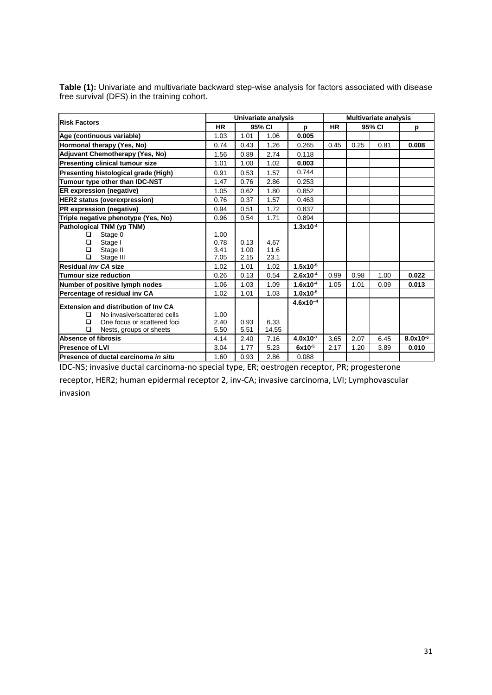| <b>Risk Factors</b>                         | Univariate analysis |        |       |               | <b>Multivariate analysis</b> |        |      |               |
|---------------------------------------------|---------------------|--------|-------|---------------|------------------------------|--------|------|---------------|
|                                             | <b>HR</b>           | 95% CI |       | p             | <b>HR</b>                    | 95% CI |      | p             |
| Age (continuous variable)                   | 1.03                | 1.01   | 1.06  | 0.005         |                              |        |      |               |
| Hormonal therapy (Yes, No)                  | 0.74                | 0.43   | 1.26  | 0.265         | 0.45                         | 0.25   | 0.81 | 0.008         |
| Adjuvant Chemotherapy (Yes, No)             | 1.56                | 0.89   | 2.74  | 0.118         |                              |        |      |               |
| <b>Presenting clinical tumour size</b>      | 1.01                | 1.00   | 1.02  | 0.003         |                              |        |      |               |
| Presenting histological grade (High)        | 0.91                | 0.53   | 1.57  | 0.744         |                              |        |      |               |
| Tumour type other than IDC-NST              | 1.47                | 0.76   | 2.86  | 0.253         |                              |        |      |               |
| <b>ER expression (negative)</b>             | 1.05                | 0.62   | 1.80  | 0.852         |                              |        |      |               |
| <b>HER2</b> status (overexpression)         | 0.76                | 0.37   | 1.57  | 0.463         |                              |        |      |               |
| <b>PR</b> expression (negative)             | 0.94                | 0.51   | 1.72  | 0.837         |                              |        |      |               |
| Triple negative phenotype (Yes, No)         | 0.96                | 0.54   | 1.71  | 0.894         |                              |        |      |               |
| Pathological TNM (yp TNM)                   |                     |        |       | $1.3x10^{-4}$ |                              |        |      |               |
| Stage 0<br>◻                                | 1.00                |        |       |               |                              |        |      |               |
| Stage I<br>□                                | 0.78                | 0.13   | 4.67  |               |                              |        |      |               |
| Stage II<br>□                               | 3.41                | 1.00   | 11.6  |               |                              |        |      |               |
| $\Box$<br>Stage III                         | 7.05                | 2.15   | 23.1  |               |                              |        |      |               |
| Residual inv CA size                        | 1.02                | 1.01   | 1.02  | $1.5x10^{-5}$ |                              |        |      |               |
| <b>Tumour size reduction</b>                | 0.26                | 0.13   | 0.54  | $2.6x10^{-4}$ | 0.99                         | 0.98   | 1.00 | 0.022         |
| Number of positive lymph nodes              | 1.06                | 1.03   | 1.09  | $1.6x10^{-4}$ | 1.05                         | 1.01   | 0.09 | 0.013         |
| Percentage of residual inv CA               | 1.02                | 1.01   | 1.03  | $1.0x10^{-5}$ |                              |        |      |               |
| <b>Extension and distribution of Inv CA</b> |                     |        |       | $4.6x10^{-4}$ |                              |        |      |               |
| No invasive/scattered cells<br>◻            | 1.00                |        |       |               |                              |        |      |               |
| $\Box$<br>One focus or scattered foci       | 2.40                | 0.93   | 6.33  |               |                              |        |      |               |
| □<br>Nests, groups or sheets                | 5.50                | 5.51   | 14.55 |               |                              |        |      |               |
| Absence of fibrosis                         | 4.14                | 2.40   | 7.16  | $4.0x10^{-7}$ | 3.65                         | 2.07   | 6.45 | $8.0x10^{-6}$ |
| <b>Presence of LVI</b>                      | 3.04                | 1.77   | 5.23  | $6x10^{-5}$   | 2.17                         | 1.20   | 3.89 | 0.010         |
| Presence of ductal carcinoma in situ        | 1.60                | 0.93   | 2.86  | 0.088         |                              |        |      |               |

**Table (1):** Univariate and multivariate backward step-wise analysis for factors associated with disease free survival (DFS) in the training cohort.

IDC-NS; invasive ductal carcinoma-no special type, ER; oestrogen receptor, PR; progesterone

receptor, HER2; human epidermal receptor 2, inv-CA; invasive carcinoma, LVI; Lymphovascular invasion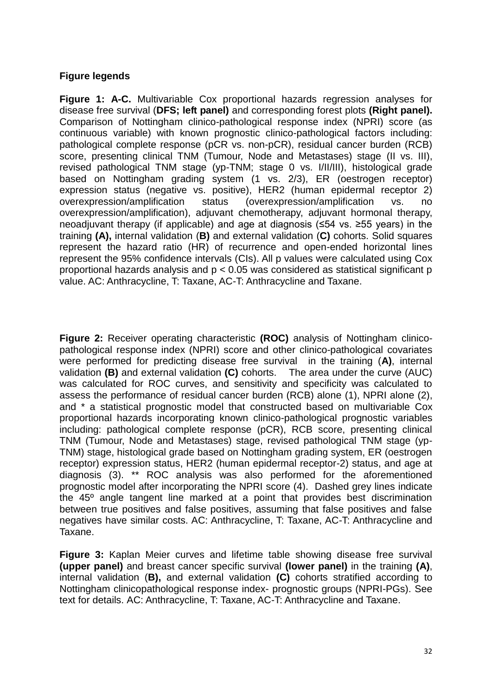## **Figure legends**

**Figure 1: A-C.** Multivariable Cox proportional hazards regression analyses for disease free survival (**DFS; left panel)** and corresponding forest plots **(Right panel).**  Comparison of Nottingham clinico-pathological response index (NPRI) score (as continuous variable) with known prognostic clinico-pathological factors including: pathological complete response (pCR vs. non-pCR), residual cancer burden (RCB) score, presenting clinical TNM (Tumour, Node and Metastases) stage (II vs. III), revised pathological TNM stage (yp-TNM; stage 0 vs. I/II/III), histological grade based on Nottingham grading system (1 vs. 2/3), ER (oestrogen receptor) expression status (negative vs. positive), HER2 (human epidermal receptor 2) overexpression/amplification status (overexpression/amplification vs. no overexpression/amplification), adjuvant chemotherapy, adjuvant hormonal therapy, neoadjuvant therapy (if applicable) and age at diagnosis (≤54 vs. ≥55 years) in the training **(A),** internal validation (**B)** and external validation (**C)** cohorts. Solid squares represent the hazard ratio (HR) of recurrence and open-ended horizontal lines represent the 95% confidence intervals (CIs). All p values were calculated using Cox proportional hazards analysis and p < 0.05 was considered as statistical significant p value. AC: Anthracycline, T: Taxane, AC-T: Anthracycline and Taxane.

**Figure 2:** Receiver operating characteristic **(ROC)** analysis of Nottingham clinicopathological response index (NPRI) score and other clinico-pathological covariates were performed for predicting disease free survival in the training (**A)**, internal validation **(B)** and external validation **(C)** cohorts. The area under the curve (AUC) was calculated for ROC curves, and sensitivity and specificity was calculated to assess the performance of residual cancer burden (RCB) alone (1), NPRI alone (2), and \* a statistical prognostic model that constructed based on multivariable Cox proportional hazards incorporating known clinico-pathological prognostic variables including: pathological complete response (pCR), RCB score, presenting clinical TNM (Tumour, Node and Metastases) stage, revised pathological TNM stage (yp-TNM) stage, histological grade based on Nottingham grading system, ER (oestrogen receptor) expression status, HER2 (human epidermal receptor-2) status, and age at diagnosis (3). \*\* ROC analysis was also performed for the aforementioned prognostic model after incorporating the NPRI score (4). Dashed grey lines indicate the 45º angle tangent line marked at a point that provides best discrimination between true positives and false positives, assuming that false positives and false negatives have similar costs. AC: Anthracycline, T: Taxane, AC-T: Anthracycline and Taxane.

**Figure 3:** Kaplan Meier curves and lifetime table showing disease free survival **(upper panel)** and breast cancer specific survival **(lower panel)** in the training **(A)**, internal validation (**B),** and external validation **(C)** cohorts stratified according to Nottingham clinicopathological response index- prognostic groups (NPRI-PGs). See text for details. AC: Anthracycline, T: Taxane, AC-T: Anthracycline and Taxane.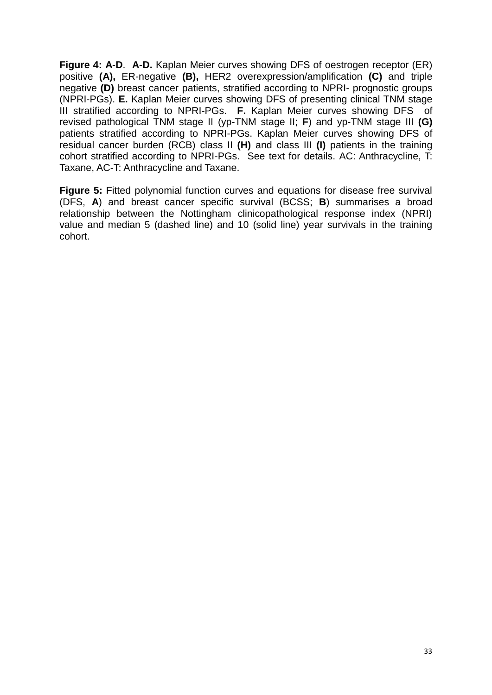**Figure 4: A-D**. **A-D.** Kaplan Meier curves showing DFS of oestrogen receptor (ER) positive **(A),** ER-negative **(B),** HER2 overexpression/amplification **(C)** and triple negative **(D)** breast cancer patients, stratified according to NPRI- prognostic groups (NPRI-PGs). **E.** Kaplan Meier curves showing DFS of presenting clinical TNM stage III stratified according to NPRI-PGs. **F.** Kaplan Meier curves showing DFS of revised pathological TNM stage II (yp-TNM stage II; **F**) and yp-TNM stage III **(G)** patients stratified according to NPRI-PGs. Kaplan Meier curves showing DFS of residual cancer burden (RCB) class II **(H)** and class III **(I)** patients in the training cohort stratified according to NPRI-PGs. See text for details. AC: Anthracycline, T: Taxane, AC-T: Anthracycline and Taxane.

**Figure 5:** Fitted polynomial function curves and equations for disease free survival (DFS, **A**) and breast cancer specific survival (BCSS; **B**) summarises a broad relationship between the Nottingham clinicopathological response index (NPRI) value and median 5 (dashed line) and 10 (solid line) year survivals in the training cohort.